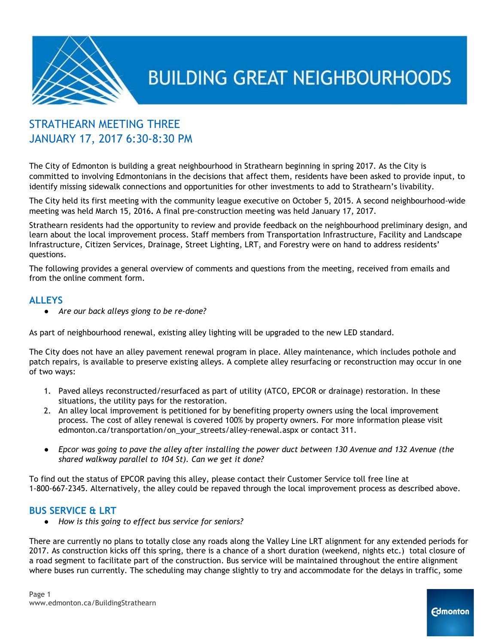

### STRATHEARN MEETING THREE JANUARY 17, 2017 6:30-8:30 PM

The City of Edmonton is building a great neighbourhood in Strathearn beginning in spring 2017. As the City is committed to involving Edmontonians in the decisions that affect them, residents have been asked to provide input, to identify missing sidewalk connections and opportunities for other investments to add to Strathearn's livability.

The City held its first meeting with the community league executive on October 5, 2015. A second neighbourhood-wide meeting was held March 15, 2016**.** A final pre-construction meeting was held January 17, 2017.

Strathearn residents had the opportunity to review and provide feedback on the neighbourhood preliminary design, and learn about the local improvement process. Staff members from Transportation Infrastructure, Facility and Landscape Infrastructure, Citizen Services, Drainage, Street Lighting, LRT, and Forestry were on hand to address residents' questions.

The following provides a general overview of comments and questions from the meeting, received from emails and from the online comment form.

#### **ALLEYS**

● *Are our back alleys giong to be re-done?*

As part of neighbourhood renewal, existing alley lighting will be upgraded to the new LED standard.

The City does not have an alley pavement renewal program in place. Alley maintenance, which includes pothole and patch repairs, is available to preserve existing alleys. A complete alley resurfacing or reconstruction may occur in one of two ways:

- 1. Paved alleys reconstructed/resurfaced as part of utility (ATCO, EPCOR or drainage) restoration. In these situations, the utility pays for the restoration.
- 2. An alley local improvement is petitioned for by benefiting property owners using the local improvement process. The cost of alley renewal is covered 100% by property owners. For more information please visit edmonton.ca/transportation/on\_your\_streets/alley-renewal.aspx or contact 311.
- Epcor was going to pave the alley after installing the power duct between 130 Avenue and 132 Avenue (the *shared walkway parallel to 104 St). Can we get it done?*

To find out the status of EPCOR paving this alley, please contact their Customer Service toll free line at 1-800-667-2345. Alternatively, the alley could be repaved through the local improvement process as described above.

#### **BUS SERVICE & LRT**

*● How is this going to effect bus service for seniors?*

There are currently no plans to totally close any roads along the Valley Line LRT alignment for any extended periods for 2017. As construction kicks off this spring, there is a chance of a short duration (weekend, nights etc.) total closure of a road segment to facilitate part of the construction. Bus service will be maintained throughout the entire alignment where buses run currently. The scheduling may change slightly to try and accommodate for the delays in traffic, some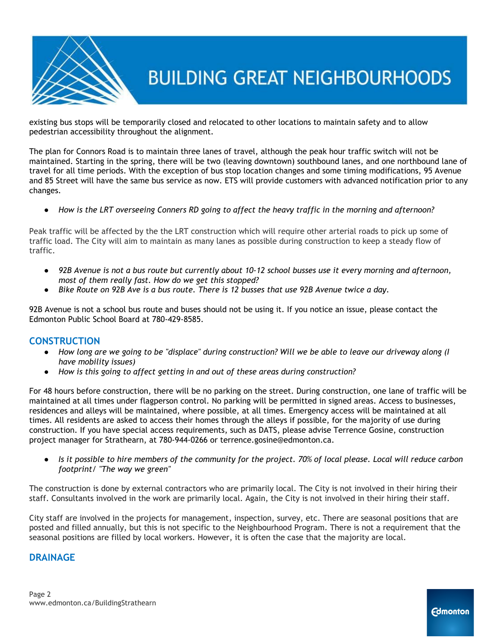

existing bus stops will be temporarily closed and relocated to other locations to maintain safety and to allow pedestrian accessibility throughout the alignment.

The plan for Connors Road is to maintain three lanes of travel, although the peak hour traffic switch will not be maintained. Starting in the spring, there will be two (leaving downtown) southbound lanes, and one northbound lane of travel for all time periods. With the exception of bus stop location changes and some timing modifications, 95 Avenue and 85 Street will have the same bus service as now. ETS will provide customers with advanced notification prior to any changes.

How is the LRT overseeing Conners RD going to affect the heavy traffic in the morning and afternoon?

Peak traffic will be affected by the the LRT construction which will require other arterial roads to pick up some of traffic load. The City will aim to maintain as many lanes as possible during construction to keep a steady flow of traffic.

- 92B Avenue is not a bus route but currently about 10-12 school busses use it every morning and afternoon, *most of them really fast. How do we get this stopped?*
- Bike Route on 92B Ave is a bus route. There is 12 busses that use 92B Avenue twice a day.

92B Avenue is not a school bus route and buses should not be using it. If you notice an issue, please contact the Edmonton Public School Board at 780-429-8585.

#### **CONSTRUCTION**

- How long are we going to be "displace" during construction? Will we be able to leave our driveway along (I *have mobility issues)*
- *● How is this going to affect getting in and out of these areas during construction?*

For 48 hours before construction, there will be no parking on the street. During construction, one lane of traffic will be maintained at all times under flagperson control. No parking will be permitted in signed areas. Access to businesses, residences and alleys will be maintained, where possible, at all times. Emergency access will be maintained at all times. All residents are asked to access their homes through the alleys if possible, for the majority of use during construction. If you have special access requirements, such as DATS, please advise Terrence Gosine, construction project manager for Strathearn, at 780-944-0266 or terrence.gosine@edmonton.ca.

Is it possible to hire members of the community for the project. 70% of local please. Local will reduce carbon *footprint/ "The way we green"*

The construction is done by external contractors who are primarily local. The City is not involved in their hiring their staff. Consultants involved in the work are primarily local. Again, the City is not involved in their hiring their staff.

City staff are involved in the projects for management, inspection, survey, etc. There are seasonal positions that are posted and filled annually, but this is not specific to the Neighbourhood Program. There is not a requirement that the seasonal positions are filled by local workers. However, it is often the case that the majority are local.

#### **DRAINAGE**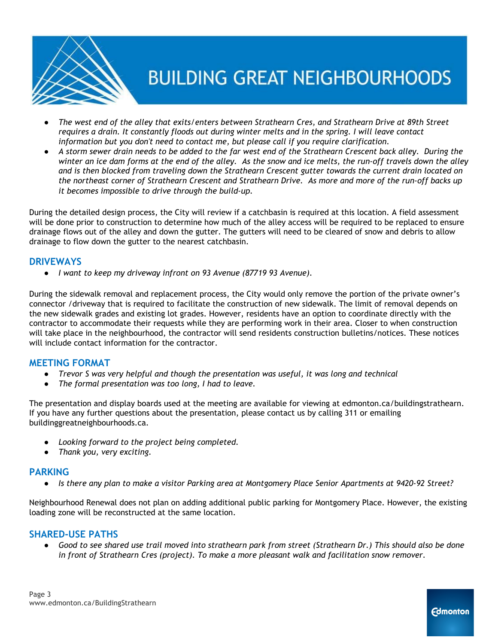

- The west end of the alley that exits/enters between Strathearn Cres, and Strathearn Drive at 89th Street requires a drain. It constantly floods out during winter melts and in the spring. I will leave contact *information but you don't need to contact me, but please call if you require clarification.*
- A storm sewer drain needs to be added to the far west end of the Strathearn Crescent back alley. During the winter an ice dam forms at the end of the alley. As the snow and ice melts, the run-off travels down the alley and is then blocked from traveling down the Strathearn Crescent gutter towards the current drain located on the northeast corner of Strathearn Crescent and Strathearn Drive. As more and more of the run-off backs up *it becomes impossible to drive through the build-up.*

During the detailed design process, the City will review if a catchbasin is required at this location. A field assessment will be done prior to construction to determine how much of the alley access will be required to be replaced to ensure drainage flows out of the alley and down the gutter. The gutters will need to be cleared of snow and debris to allow drainage to flow down the gutter to the nearest catchbasin.

#### **DRIVEWAYS**

● *I want to keep my driveway infront on 93 Avenue (87719 93 Avenue).*

During the sidewalk removal and replacement process, the City would only remove the portion of the private owner's connector /driveway that is required to facilitate the construction of new sidewalk. The limit of removal depends on the new sidewalk grades and existing lot grades. However, residents have an option to coordinate directly with the contractor to accommodate their requests while they are performing work in their area. Closer to when construction will take place in the neighbourhood, the contractor will send residents construction bulletins/notices. These notices will include contact information for the contractor.

#### **MEETING FORMAT**

- *● Trevor S was very helpful and though the presentation was useful, it was long and technical*
- *● The formal presentation was too long, I had to leave.*

The presentation and display boards used at the meeting are available for viewing at edmonton.ca/buildingstrathearn. If you have any further questions about the presentation, please contact us by calling 311 or emailing buildinggreatneighbourhoods.ca.

- *● Looking forward to the project being completed.*
- *● Thank you, very exciting.*

#### **PARKING**

• Is there any plan to make a visitor Parking area at Montgomery Place Senior Apartments at 9420-92 Street?

Neighbourhood Renewal does not plan on adding additional public parking for Montgomery Place. However, the existing loading zone will be reconstructed at the same location.

#### **SHARED-USE PATHS**

• Good to see shared use trail moved into strathearn park from street (Strathearn Dr.) This should also be done *in front of Strathearn Cres (project). To make a more pleasant walk and facilitation snow remover.*

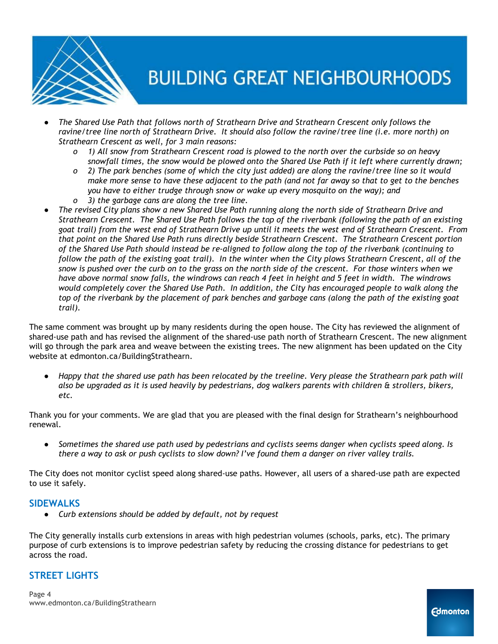

- *● The Shared Use Path that follows north of Strathearn Drive and Strathearn Crescent only follows the* ravine/tree line north of Strathearn Drive. It should also follow the ravine/tree line (i.e. more north) on *Strathearn Crescent as well, for 3 main reasons:*
	- o 1) All snow from Strathearn Crescent road is plowed to the north over the curbside so on heavy snowfall times, the snow would be plowed onto the Shared Use Path if it left where currently drawn;
	- o 2) The park benches (some of which the city just added) are along the ravine/tree line so it would make more sense to have these adjacent to the path (and not far away so that to get to the benches *you have to either trudge through snow or wake up every mosquito on the way); and*
	- *o 3) the garbage cans are along the tree line.*
- The revised City plans show a new Shared Use Path running along the north side of Strathearn Drive and Strathearn Crescent. The Shared Use Path follows the top of the riverbank (following the path of an existing goat trail) from the west end of Strathearn Drive up until it meets the west end of Strathearn Crescent. From *that point on the Shared Use Path runs directly beside Strathearn Crescent. The Strathearn Crescent portion* of the Shared Use Path should instead be re-aligned to follow along the top of the riverbank (continuing to follow the path of the existing goat trail). In the winter when the City plows Strathearn Crescent, all of the snow is pushed over the curb on to the grass on the north side of the crescent. For those winters when we have above normal snow falls, the windrows can reach 4 feet in height and 5 feet in width. The windrows would completely cover the Shared Use Path. In addition, the City has encouraged people to walk along the top of the riverbank by the placement of park benches and garbage cans (along the path of the existing goat *trail).*

The same comment was brought up by many residents during the open house. The City has reviewed the alignment of shared-use path and has revised the alignment of the shared-use path north of Strathearn Crescent. The new alignment will go through the park area and weave between the existing trees. The new alignment has been updated on the City website at edmonton.ca/BuildingStrathearn.

Happy that the shared use path has been relocated by the treeline. Very please the Strathearn park path will also be upgraded as it is used heavily by pedestrians, dog walkers parents with children & strollers, bikers, *etc.*

Thank you for your comments. We are glad that you are pleased with the final design for Strathearn's neighbourhood renewal.

Sometimes the shared use path used by pedestrians and cyclists seems danger when cyclists speed along. Is there a way to ask or push cyclists to slow down? I've found them a danger on river valley trails.

The City does not monitor cyclist speed along shared-use paths. However, all users of a shared-use path are expected to use it safely.

#### **SIDEWALKS**

● *Curb extensions should be added by default, not by request*

The City generally installs curb extensions in areas with high pedestrian volumes (schools, parks, etc). The primary purpose of curb extensions is to improve pedestrian safety by reducing the crossing distance for pedestrians to get across the road.

#### **STREET LIGHTS**

Page 4 www.edmonton.ca/BuildingStrathearn